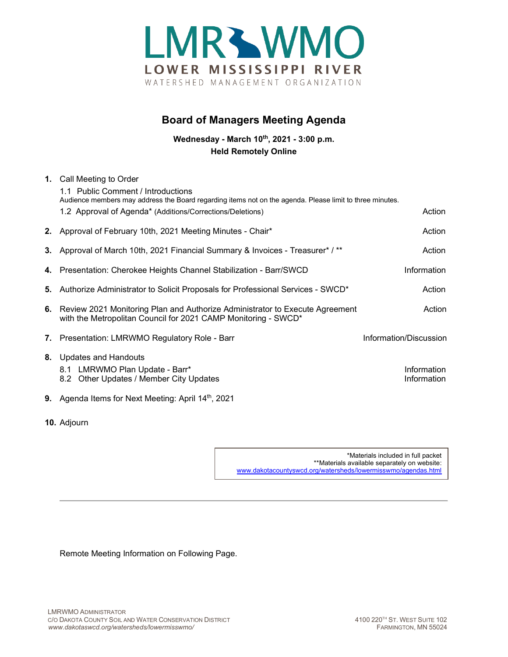

## **Board of Managers Meeting Agenda**

**Wednesday - March 10th, 2021 - 3:00 p.m. Held Remotely Online**

| 1. Call Meeting to Order<br>1.1 Public Comment / Introductions<br>Audience members may address the Board regarding items not on the agenda. Please limit to three minutes. |                            |
|----------------------------------------------------------------------------------------------------------------------------------------------------------------------------|----------------------------|
| 1.2 Approval of Agenda* (Additions/Corrections/Deletions)                                                                                                                  | Action                     |
| 2. Approval of February 10th, 2021 Meeting Minutes - Chair*                                                                                                                | Action                     |
| 3. Approval of March 10th, 2021 Financial Summary & Invoices - Treasurer* / **                                                                                             | Action                     |
| 4. Presentation: Cherokee Heights Channel Stabilization - Barr/SWCD                                                                                                        | Information                |
| 5. Authorize Administrator to Solicit Proposals for Professional Services - SWCD*                                                                                          | Action                     |
| 6. Review 2021 Monitoring Plan and Authorize Administrator to Execute Agreement<br>with the Metropolitan Council for 2021 CAMP Monitoring - SWCD*                          | Action                     |
| 7. Presentation: LMRWMO Regulatory Role - Barr                                                                                                                             | Information/Discussion     |
| 8. Updates and Handouts<br>8.1 LMRWMO Plan Update - Barr*<br>8.2 Other Updates / Member City Updates                                                                       | Information<br>Information |
| <b>9.</b> Agenda Items for Next Meeting: April $14th$ , 2021                                                                                                               |                            |

**10.** Adjourn

\*Materials included in full packet \*\*Materials available separately on website: [www.dakotacountyswcd.org/watersheds/lowermisswmo/agendas.html](http://www.dakotacountyswcd.org/watersheds/lowermisswmo/agendas.html)

Remote Meeting Information on Following Page.